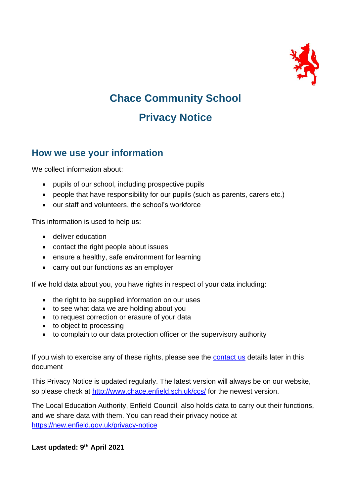

# **Chace Community School Privacy Notice**

### **How we use your information**

We collect information about:

- pupils of our school, including prospective pupils
- people that have responsibility for our pupils (such as parents, carers etc.)
- our staff and volunteers, the school's workforce

This information is used to help us:

- deliver education
- contact the right people about issues
- ensure a healthy, safe environment for learning
- carry out our functions as an employer

If we hold data about you, you have rights in respect of your data including:

- the right to be supplied information on our uses
- to see what data we are holding about you
- to request correction or erasure of your data
- to object to processing
- to complain to our data protection officer or the supervisory authority

If you wish to exercise any of these rights, please see the [contact us](#page-11-0) details later in this document

This Privacy Notice is updated regularly. The latest version will always be on our website, so please check at<http://www.chace.enfield.sch.uk/ccs/> for the newest version.

The Local Education Authority, Enfield Council, also holds data to carry out their functions, and we share data with them. You can read their privacy notice at <https://new.enfield.gov.uk/privacy-notice>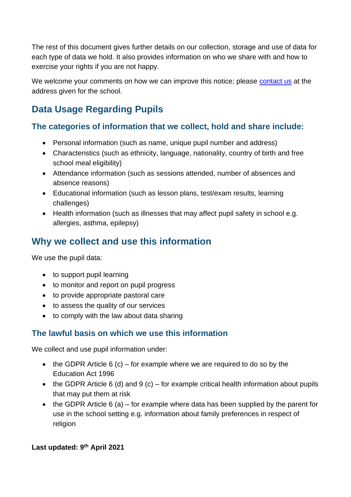The rest of this document gives further details on our collection, storage and use of data for each type of data we hold. It also provides information on who we share with and how to exercise your rights if you are not happy.

We welcome your comments on how we can improve this notice; please [contact us](#page-11-0) at the address given for the school.

## **Data Usage Regarding Pupils**

### **The categories of information that we collect, hold and share include:**

- Personal information (such as name, unique pupil number and address)
- Characteristics (such as ethnicity, language, nationality, country of birth and free school meal eligibility)
- Attendance information (such as sessions attended, number of absences and absence reasons)
- Educational information (such as lesson plans, test/exam results, learning challenges)
- Health information (such as illnesses that may affect pupil safety in school e.g. allergies, asthma, epilepsy)

## **Why we collect and use this information**

We use the pupil data:

- to support pupil learning
- to monitor and report on pupil progress
- to provide appropriate pastoral care
- to assess the quality of our services
- to comply with the law about data sharing

### **The lawful basis on which we use this information**

We collect and use pupil information under:

- the GDPR Article  $6$  (c) for example where we are required to do so by the Education Act 1996
- the GDPR Article 6 (d) and 9 (c) for example critical health information about pupils that may put them at risk
- the GDPR Article 6 (a) for example where data has been supplied by the parent for use in the school setting e.g. information about family preferences in respect of religion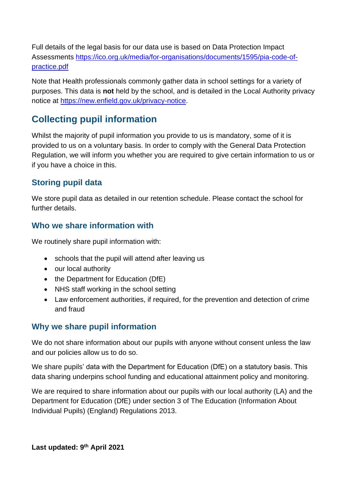Full details of the legal basis for our data use is based on Data Protection Impact Assessments [https://ico.org.uk/media/for-organisations/documents/1595/pia-code-of](https://ico.org.uk/media/for-organisations/documents/1595/pia-code-of-practice.pdf)[practice.pdf](https://ico.org.uk/media/for-organisations/documents/1595/pia-code-of-practice.pdf)

Note that Health professionals commonly gather data in school settings for a variety of purposes. This data is **not** held by the school, and is detailed in the Local Authority privacy notice at [https://new.enfield.gov.uk/privacy-notice.](https://new.enfield.gov.uk/privacy-notice)

## **Collecting pupil information**

Whilst the majority of pupil information you provide to us is mandatory, some of it is provided to us on a voluntary basis. In order to comply with the General Data Protection Regulation, we will inform you whether you are required to give certain information to us or if you have a choice in this.

### **Storing pupil data**

We store pupil data as detailed in our retention schedule. Please contact the school for further details.

### **Who we share information with**

We routinely share pupil information with:

- schools that the pupil will attend after leaving us
- our local authority
- the Department for Education (DfE)
- NHS staff working in the school setting
- Law enforcement authorities, if required, for the prevention and detection of crime and fraud

### **Why we share pupil information**

We do not share information about our pupils with anyone without consent unless the law and our policies allow us to do so.

We share pupils' data with the Department for Education (DfE) on a statutory basis. This data sharing underpins school funding and educational attainment policy and monitoring.

We are required to share information about our pupils with our local authority (LA) and the Department for Education (DfE) under section 3 of The Education (Information About Individual Pupils) (England) Regulations 2013.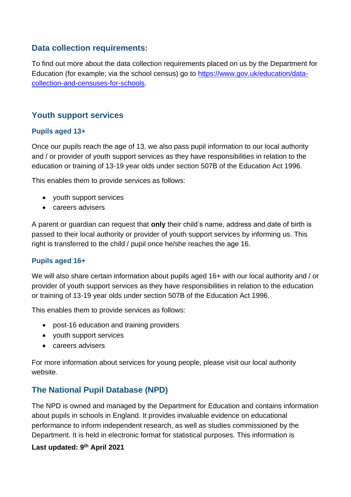#### **Data collection requirements:**

To find out more about the data collection requirements placed on us by the Department for Education (for example; via the school census) go to [https://www.gov.uk/education/data](https://www.gov.uk/education/data-collection-and-censuses-for-schools)[collection-and-censuses-for-schools.](https://www.gov.uk/education/data-collection-and-censuses-for-schools)

#### **Youth support services**

#### **Pupils aged 13+**

Once our pupils reach the age of 13, we also pass pupil information to our local authority and / or provider of youth support services as they have responsibilities in relation to the education or training of 13-19 year olds under section 507B of the Education Act 1996.

This enables them to provide services as follows:

- youth support services
- careers advisers

A parent or guardian can request that **only** their child's name, address and date of birth is passed to their local authority or provider of youth support services by informing us. This right is transferred to the child / pupil once he/she reaches the age 16.

#### **Pupils aged 16+**

We will also share certain information about pupils aged 16+ with our local authority and / or provider of youth support services as they have responsibilities in relation to the education or training of 13-19 year olds under section 507B of the Education Act 1996.

This enables them to provide services as follows:

- post-16 education and training providers
- youth support services
- careers advisers

For more information about services for young people, please visit our local authority website.

### **The National Pupil Database (NPD)**

The NPD is owned and managed by the Department for Education and contains information about pupils in schools in England. It provides invaluable evidence on educational performance to inform independent research, as well as studies commissioned by the Department. It is held in electronic format for statistical purposes. This information is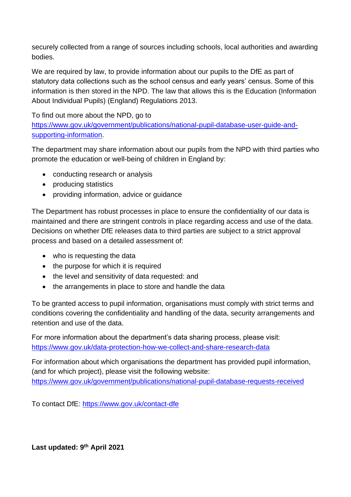securely collected from a range of sources including schools, local authorities and awarding bodies.

We are required by law, to provide information about our pupils to the DfE as part of statutory data collections such as the school census and early years' census. Some of this information is then stored in the NPD. The law that allows this is the Education (Information About Individual Pupils) (England) Regulations 2013.

To find out more about the NPD, go to [https://www.gov.uk/government/publications/national-pupil-database-user-guide-and](https://www.gov.uk/government/publications/national-pupil-database-user-guide-and-supporting-information)[supporting-information.](https://www.gov.uk/government/publications/national-pupil-database-user-guide-and-supporting-information)

The department may share information about our pupils from the NPD with third parties who promote the education or well-being of children in England by:

- conducting research or analysis
- producing statistics
- providing information, advice or guidance

The Department has robust processes in place to ensure the confidentiality of our data is maintained and there are stringent controls in place regarding access and use of the data. Decisions on whether DfE releases data to third parties are subject to a strict approval process and based on a detailed assessment of:

- who is requesting the data
- the purpose for which it is required
- the level and sensitivity of data requested: and
- the arrangements in place to store and handle the data

To be granted access to pupil information, organisations must comply with strict terms and conditions covering the confidentiality and handling of the data, security arrangements and retention and use of the data.

For more information about the department's data sharing process, please visit: <https://www.gov.uk/data-protection-how-we-collect-and-share-research-data>

For information about which organisations the department has provided pupil information, (and for which project), please visit the following website: <https://www.gov.uk/government/publications/national-pupil-database-requests-received>

To contact DfE:<https://www.gov.uk/contact-dfe>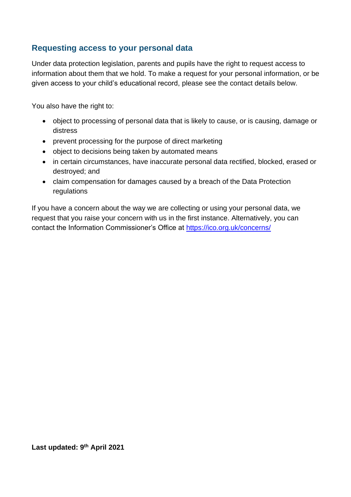### **Requesting access to your personal data**

Under data protection legislation, parents and pupils have the right to request access to information about them that we hold. To make a request for your personal information, or be given access to your child's educational record, please see the contact details below.

You also have the right to:

- object to processing of personal data that is likely to cause, or is causing, damage or distress
- prevent processing for the purpose of direct marketing
- object to decisions being taken by automated means
- in certain circumstances, have inaccurate personal data rectified, blocked, erased or destroyed; and
- claim compensation for damages caused by a breach of the Data Protection regulations

If you have a concern about the way we are collecting or using your personal data, we request that you raise your concern with us in the first instance. Alternatively, you can contact the Information Commissioner's Office at<https://ico.org.uk/concerns/>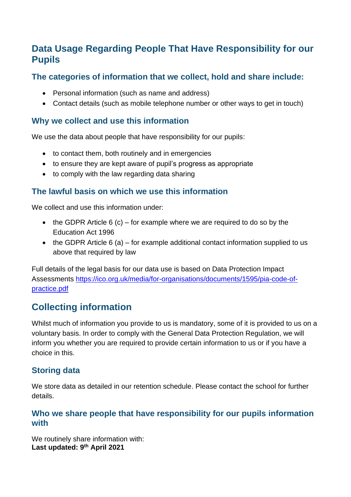## **Data Usage Regarding People That Have Responsibility for our Pupils**

#### **The categories of information that we collect, hold and share include:**

- Personal information (such as name and address)
- Contact details (such as mobile telephone number or other ways to get in touch)

#### **Why we collect and use this information**

We use the data about people that have responsibility for our pupils:

- to contact them, both routinely and in emergencies
- to ensure they are kept aware of pupil's progress as appropriate
- to comply with the law regarding data sharing

### **The lawful basis on which we use this information**

We collect and use this information under:

- the GDPR Article  $6$  (c) for example where we are required to do so by the Education Act 1996
- the GDPR Article  $6$  (a) for example additional contact information supplied to us above that required by law

Full details of the legal basis for our data use is based on Data Protection Impact Assessments [https://ico.org.uk/media/for-organisations/documents/1595/pia-code-of](https://ico.org.uk/media/for-organisations/documents/1595/pia-code-of-practice.pdf)[practice.pdf](https://ico.org.uk/media/for-organisations/documents/1595/pia-code-of-practice.pdf)

## **Collecting information**

Whilst much of information you provide to us is mandatory, some of it is provided to us on a voluntary basis. In order to comply with the General Data Protection Regulation, we will inform you whether you are required to provide certain information to us or if you have a choice in this.

### **Storing data**

We store data as detailed in our retention schedule. Please contact the school for further details.

#### **Who we share people that have responsibility for our pupils information with**

**Last updated: 9th April 2021** We routinely share information with: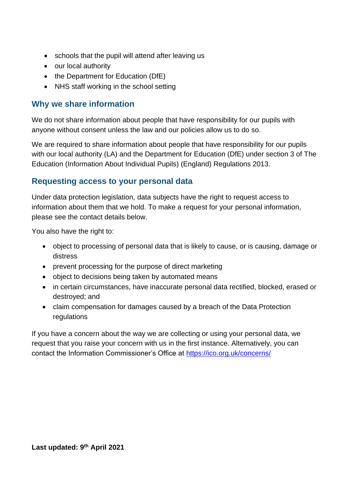- schools that the pupil will attend after leaving us
- our local authority
- the Department for Education (DfE)
- NHS staff working in the school setting

#### **Why we share information**

We do not share information about people that have responsibility for our pupils with anyone without consent unless the law and our policies allow us to do so.

We are required to share information about people that have responsibility for our pupils with our local authority (LA) and the Department for Education (DfE) under section 3 of The Education (Information About Individual Pupils) (England) Regulations 2013.

#### **Requesting access to your personal data**

Under data protection legislation, data subjects have the right to request access to information about them that we hold. To make a request for your personal information, please see the contact details below.

You also have the right to:

- object to processing of personal data that is likely to cause, or is causing, damage or distress
- prevent processing for the purpose of direct marketing
- object to decisions being taken by automated means
- in certain circumstances, have inaccurate personal data rectified, blocked, erased or destroyed; and
- claim compensation for damages caused by a breach of the Data Protection regulations

If you have a concern about the way we are collecting or using your personal data, we request that you raise your concern with us in the first instance. Alternatively, you can contact the Information Commissioner's Office at<https://ico.org.uk/concerns/>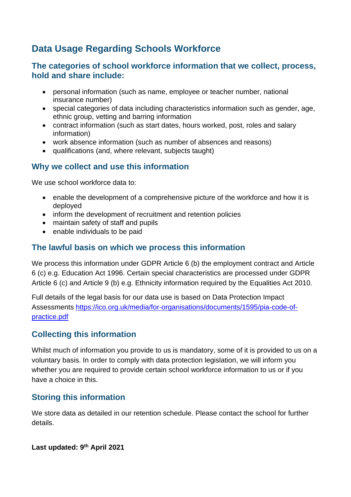## **Data Usage Regarding Schools Workforce**

#### **The categories of school workforce information that we collect, process, hold and share include:**

- personal information (such as name, employee or teacher number, national insurance number)
- special categories of data including characteristics information such as gender, age, ethnic group, vetting and barring information
- contract information (such as start dates, hours worked, post, roles and salary information)
- work absence information (such as number of absences and reasons)
- qualifications (and, where relevant, subjects taught)

#### **Why we collect and use this information**

We use school workforce data to:

- enable the development of a comprehensive picture of the workforce and how it is deployed
- inform the development of recruitment and retention policies
- maintain safety of staff and pupils
- enable individuals to be paid

#### **The lawful basis on which we process this information**

We process this information under GDPR Article 6 (b) the employment contract and Article 6 (c) e.g. Education Act 1996. Certain special characteristics are processed under GDPR Article 6 (c) and Article 9 (b) e.g. Ethnicity information required by the Equalities Act 2010.

Full details of the legal basis for our data use is based on Data Protection Impact Assessments [https://ico.org.uk/media/for-organisations/documents/1595/pia-code-of](https://ico.org.uk/media/for-organisations/documents/1595/pia-code-of-practice.pdf)[practice.pdf](https://ico.org.uk/media/for-organisations/documents/1595/pia-code-of-practice.pdf)

### **Collecting this information**

Whilst much of information you provide to us is mandatory, some of it is provided to us on a voluntary basis. In order to comply with data protection legislation, we will inform you whether you are required to provide certain school workforce information to us or if you have a choice in this.

#### **Storing this information**

We store data as detailed in our retention schedule. Please contact the school for further details.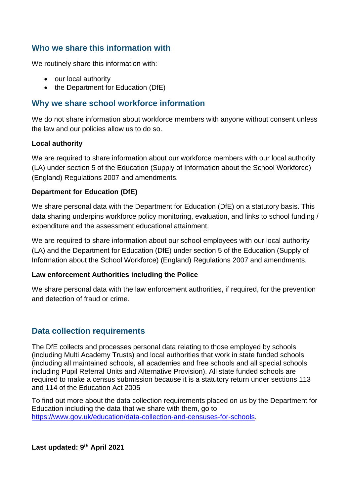#### **Who we share this information with**

We routinely share this information with:

- our local authority
- the Department for Education (DfE)

#### **Why we share school workforce information**

We do not share information about workforce members with anyone without consent unless the law and our policies allow us to do so.

#### **Local authority**

We are required to share information about our workforce members with our local authority (LA) under section 5 of the Education (Supply of Information about the School Workforce) (England) Regulations 2007 and amendments.

#### **Department for Education (DfE)**

We share personal data with the Department for Education (DfE) on a statutory basis. This data sharing underpins workforce policy monitoring, evaluation, and links to school funding / expenditure and the assessment educational attainment.

We are required to share information about our school employees with our local authority (LA) and the Department for Education (DfE) under section 5 of the Education (Supply of Information about the School Workforce) (England) Regulations 2007 and amendments.

#### **Law enforcement Authorities including the Police**

We share personal data with the law enforcement authorities, if required, for the prevention and detection of fraud or crime.

#### **Data collection requirements**

The DfE collects and processes personal data relating to those employed by schools (including Multi Academy Trusts) and local authorities that work in state funded schools (including all maintained schools, all academies and free schools and all special schools including Pupil Referral Units and Alternative Provision). All state funded schools are required to make a census submission because it is a statutory return under sections 113 and 114 of the Education Act 2005

To find out more about the data collection requirements placed on us by the Department for Education including the data that we share with them, go to [https://www.gov.uk/education/data-collection-and-censuses-for-schools.](https://www.gov.uk/education/data-collection-and-censuses-for-schools)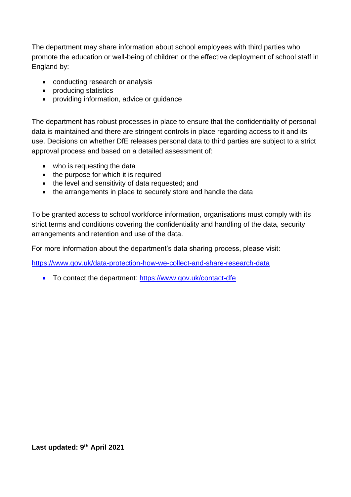The department may share information about school employees with third parties who promote the education or well-being of children or the effective deployment of school staff in England by:

- conducting research or analysis
- producing statistics
- providing information, advice or guidance

The department has robust processes in place to ensure that the confidentiality of personal data is maintained and there are stringent controls in place regarding access to it and its use. Decisions on whether DfE releases personal data to third parties are subject to a strict approval process and based on a detailed assessment of:

- who is requesting the data
- the purpose for which it is required
- the level and sensitivity of data requested; and
- the arrangements in place to securely store and handle the data

To be granted access to school workforce information, organisations must comply with its strict terms and conditions covering the confidentiality and handling of the data, security arrangements and retention and use of the data.

For more information about the department's data sharing process, please visit:

<https://www.gov.uk/data-protection-how-we-collect-and-share-research-data>

• To contact the department:<https://www.gov.uk/contact-dfe>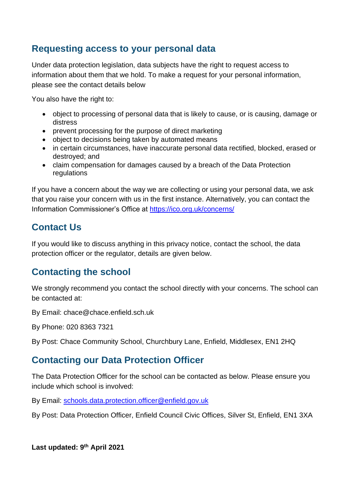## **Requesting access to your personal data**

Under data protection legislation, data subjects have the right to request access to information about them that we hold. To make a request for your personal information, please see the contact details below

You also have the right to:

- object to processing of personal data that is likely to cause, or is causing, damage or distress
- prevent processing for the purpose of direct marketing
- object to decisions being taken by automated means
- in certain circumstances, have inaccurate personal data rectified, blocked, erased or destroyed; and
- claim compensation for damages caused by a breach of the Data Protection regulations

If you have a concern about the way we are collecting or using your personal data, we ask that you raise your concern with us in the first instance. Alternatively, you can contact the Information Commissioner's Office at<https://ico.org.uk/concerns/>

## <span id="page-11-0"></span>**Contact Us**

If you would like to discuss anything in this privacy notice, contact the school, the data protection officer or the regulator, details are given below.

## **Contacting the school**

We strongly recommend you contact the school directly with your concerns. The school can be contacted at:

By Email: chace@chace.enfield.sch.uk

By Phone: 020 8363 7321

By Post: Chace Community School, Churchbury Lane, Enfield, Middlesex, EN1 2HQ

## **Contacting our Data Protection Officer**

The Data Protection Officer for the school can be contacted as below. Please ensure you include which school is involved:

By Email: [schools.data.protection.officer@enfield.gov.uk](mailto:schools.data.protection.officer@enfield.gov.uk)

By Post: Data Protection Officer, Enfield Council Civic Offices, Silver St, Enfield, EN1 3XA